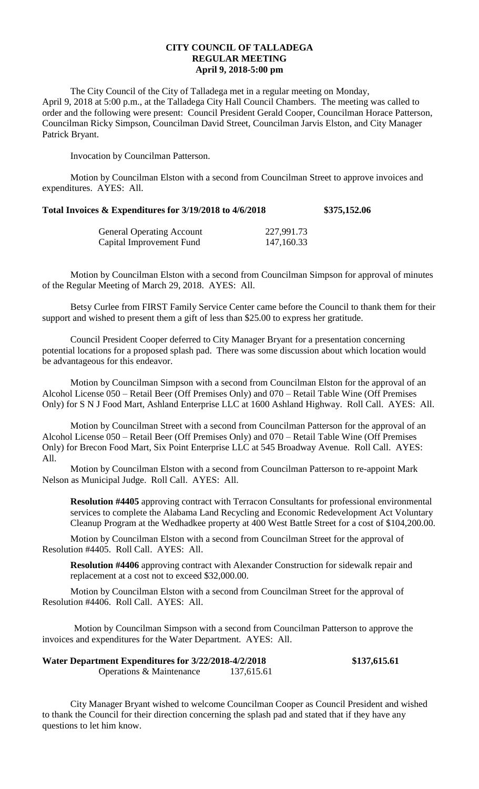## **CITY COUNCIL OF TALLADEGA REGULAR MEETING April 9, 2018-5:00 pm**

The City Council of the City of Talladega met in a regular meeting on Monday, April 9, 2018 at 5:00 p.m., at the Talladega City Hall Council Chambers. The meeting was called to order and the following were present: Council President Gerald Cooper, Councilman Horace Patterson, Councilman Ricky Simpson, Councilman David Street, Councilman Jarvis Elston, and City Manager Patrick Bryant.

Invocation by Councilman Patterson.

Motion by Councilman Elston with a second from Councilman Street to approve invoices and expenditures. AYES: All.

## **Total Invoices & Expenditures for 3/19/2018 to 4/6/2018 \$375,152.06**

| <b>General Operating Account</b> | 227,991.73 |
|----------------------------------|------------|
| Capital Improvement Fund         | 147,160.33 |

Motion by Councilman Elston with a second from Councilman Simpson for approval of minutes of the Regular Meeting of March 29, 2018. AYES: All.

Betsy Curlee from FIRST Family Service Center came before the Council to thank them for their support and wished to present them a gift of less than \$25.00 to express her gratitude.

Council President Cooper deferred to City Manager Bryant for a presentation concerning potential locations for a proposed splash pad. There was some discussion about which location would be advantageous for this endeavor.

Motion by Councilman Simpson with a second from Councilman Elston for the approval of an Alcohol License 050 – Retail Beer (Off Premises Only) and 070 – Retail Table Wine (Off Premises Only) for S N J Food Mart, Ashland Enterprise LLC at 1600 Ashland Highway. Roll Call. AYES: All.

Motion by Councilman Street with a second from Councilman Patterson for the approval of an Alcohol License 050 – Retail Beer (Off Premises Only) and 070 – Retail Table Wine (Off Premises Only) for Brecon Food Mart, Six Point Enterprise LLC at 545 Broadway Avenue. Roll Call. AYES: All.

Motion by Councilman Elston with a second from Councilman Patterson to re-appoint Mark Nelson as Municipal Judge. Roll Call. AYES: All.

**Resolution #4405** approving contract with Terracon Consultants for professional environmental services to complete the Alabama Land Recycling and Economic Redevelopment Act Voluntary Cleanup Program at the Wedhadkee property at 400 West Battle Street for a cost of \$104,200.00.

Motion by Councilman Elston with a second from Councilman Street for the approval of Resolution #4405. Roll Call. AYES: All.

**Resolution #4406** approving contract with Alexander Construction for sidewalk repair and replacement at a cost not to exceed \$32,000.00.

Motion by Councilman Elston with a second from Councilman Street for the approval of Resolution #4406. Roll Call. AYES: All.

Motion by Councilman Simpson with a second from Councilman Patterson to approve the invoices and expenditures for the Water Department. AYES: All.

| Water Department Expenditures for 3/22/2018-4/2/2018 |            | \$137,615.61 |
|------------------------------------------------------|------------|--------------|
| <b>Operations &amp; Maintenance</b>                  | 137,615.61 |              |

City Manager Bryant wished to welcome Councilman Cooper as Council President and wished to thank the Council for their direction concerning the splash pad and stated that if they have any questions to let him know.